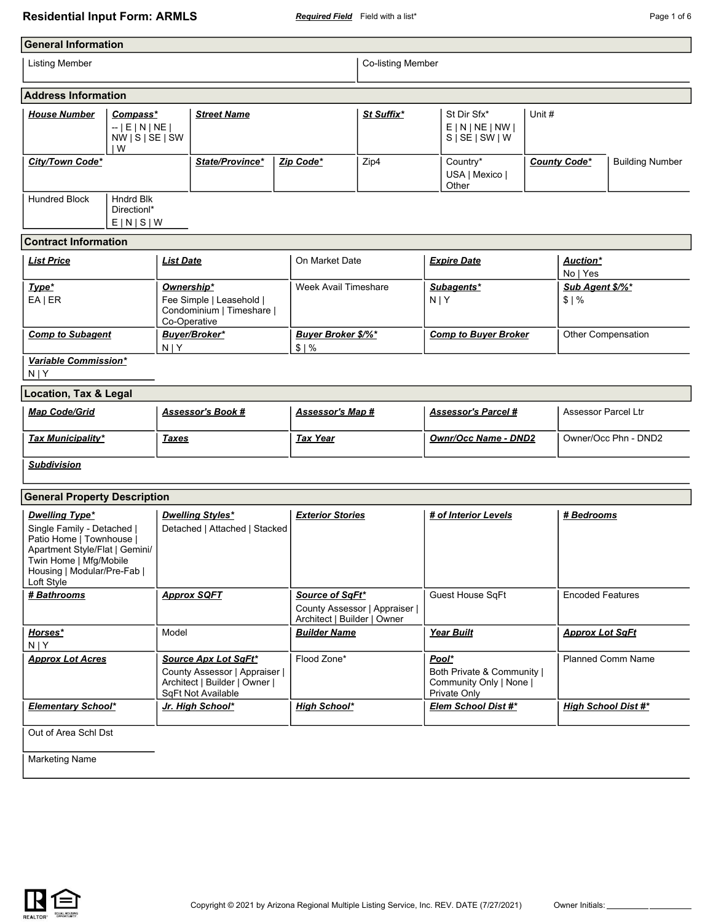## **Residential Input Form: ARMLS** *Required Field* Field with a list\* **Page 1 of 6** Page 1 of 6

| <b>General Information</b>                                                                                                                                                               |                                                                      |                    |                                                                       |                                                                                 |                                                                                |                   |                     |                                                                   |                         |                            |                        |
|------------------------------------------------------------------------------------------------------------------------------------------------------------------------------------------|----------------------------------------------------------------------|--------------------|-----------------------------------------------------------------------|---------------------------------------------------------------------------------|--------------------------------------------------------------------------------|-------------------|---------------------|-------------------------------------------------------------------|-------------------------|----------------------------|------------------------|
| <b>Listing Member</b>                                                                                                                                                                    |                                                                      |                    |                                                                       |                                                                                 |                                                                                | Co-listing Member |                     |                                                                   |                         |                            |                        |
| <b>Address Information</b>                                                                                                                                                               |                                                                      |                    |                                                                       |                                                                                 |                                                                                |                   |                     |                                                                   |                         |                            |                        |
| <b>House Number</b>                                                                                                                                                                      | Compass*<br>$-$   E   N   NE  <br>$NW \mid S \mid SE \mid SW$<br>l W | <b>Street Name</b> |                                                                       |                                                                                 |                                                                                | St Suffix*        |                     | Unit #<br>St Dir Sfx*<br>E N NE NW <br>$S \mid SE \mid SW \mid W$ |                         |                            |                        |
| City/Town Code*                                                                                                                                                                          |                                                                      |                    | State/Province*                                                       | Zip Code*                                                                       |                                                                                | Zip4              |                     | Country*<br>USA   Mexico  <br>Other                               |                         | <b>County Code*</b>        | <b>Building Number</b> |
| Hundred Block                                                                                                                                                                            | <b>Hndrd Blk</b><br>Direction <sup>*</sup><br>E[N S W                |                    |                                                                       |                                                                                 |                                                                                |                   |                     |                                                                   |                         |                            |                        |
| <b>Contract Information</b>                                                                                                                                                              |                                                                      |                    |                                                                       |                                                                                 |                                                                                |                   |                     |                                                                   |                         |                            |                        |
| <b>List Price</b>                                                                                                                                                                        |                                                                      | <b>List Date</b>   |                                                                       |                                                                                 | On Market Date                                                                 |                   |                     | <b>Expire Date</b>                                                |                         | Auction*<br>No   Yes       |                        |
| Type*<br>$EA$   ER                                                                                                                                                                       |                                                                      | Ownership*         | Fee Simple   Leasehold  <br>Condominium   Timeshare  <br>Co-Operative |                                                                                 | Week Avail Timeshare                                                           |                   | $N$  Y              | Subagents*                                                        |                         | Sub Agent \$/%*<br>\$1%    |                        |
| <b>Comp to Subagent</b>                                                                                                                                                                  |                                                                      | N   Y              | Buyer/Broker*                                                         | \$1%                                                                            | <b>Buyer Broker \$/%*</b>                                                      |                   |                     | <b>Comp to Buyer Broker</b>                                       |                         | Other Compensation         |                        |
| Variable Commission*<br>$N$   Y                                                                                                                                                          |                                                                      |                    |                                                                       |                                                                                 |                                                                                |                   |                     |                                                                   |                         |                            |                        |
| <b>Location, Tax &amp; Legal</b>                                                                                                                                                         |                                                                      |                    |                                                                       |                                                                                 |                                                                                |                   |                     |                                                                   |                         |                            |                        |
| <b>Map Code/Grid</b>                                                                                                                                                                     |                                                                      |                    | <u>Assessor's Book #</u>                                              |                                                                                 | <u>Assessor's Map #</u>                                                        |                   |                     | <b>Assessor's Parcel #</b>                                        |                         | Assessor Parcel Ltr        |                        |
| Tax Municipality*                                                                                                                                                                        |                                                                      | <u>Taxes</u>       |                                                                       | <b>Tax Year</b>                                                                 |                                                                                |                   |                     | <b>Ownr/Occ Name - DND2</b>                                       |                         | Owner/Occ Phn - DND2       |                        |
| <b>Subdivision</b>                                                                                                                                                                       |                                                                      |                    |                                                                       |                                                                                 |                                                                                |                   |                     |                                                                   |                         |                            |                        |
| <b>General Property Description</b>                                                                                                                                                      |                                                                      |                    |                                                                       |                                                                                 |                                                                                |                   |                     |                                                                   |                         |                            |                        |
| <b>Dwelling Type*</b><br>Single Family - Detached  <br>Patio Home   Townhouse  <br>Apartment Style/Flat   Gemini/<br>Twin Home   Mfg/Mobile<br>Housing   Modular/Pre-Fab  <br>Loft Style |                                                                      |                    | <b>Dwelling Styles*</b><br>Detached   Attached   Stacked              |                                                                                 | <b>Exterior Stories</b>                                                        |                   |                     | # of Interior Levels                                              |                         | <u># Bedrooms</u>          |                        |
| # Bathrooms<br><b>Approx SQFT</b>                                                                                                                                                        |                                                                      |                    |                                                                       | Source of SqFt*<br>County Assessor   Appraiser  <br>Architect   Builder   Owner |                                                                                | Guest House SqFt  |                     |                                                                   | <b>Encoded Features</b> |                            |                        |
| Horses*<br>Model<br>N   Y                                                                                                                                                                |                                                                      |                    | <b>Builder Name</b>                                                   |                                                                                 |                                                                                | <b>Year Built</b> |                     | <b>Approx Lot SqFt</b>                                            |                         |                            |                        |
| <b>Approx Lot Acres</b><br>Source Apx Lot SqFt*<br>County Assessor   Appraiser  <br>Architect   Builder   Owner  <br>SqFt Not Available                                                  |                                                                      |                    | Flood Zone*                                                           |                                                                                 | Pool*<br>Both Private & Community  <br>Community Only   None  <br>Private Only |                   |                     | <b>Planned Comm Name</b>                                          |                         |                            |                        |
| <b>Elementary School*</b>                                                                                                                                                                |                                                                      |                    | Jr. High School*                                                      |                                                                                 | <b>High School*</b>                                                            |                   | Elem School Dist #* |                                                                   |                         | <b>High School Dist #*</b> |                        |
| Out of Area Schl Dst                                                                                                                                                                     |                                                                      |                    |                                                                       |                                                                                 |                                                                                |                   |                     |                                                                   |                         |                            |                        |
| <b>Marketing Name</b>                                                                                                                                                                    |                                                                      |                    |                                                                       |                                                                                 |                                                                                |                   |                     |                                                                   |                         |                            |                        |

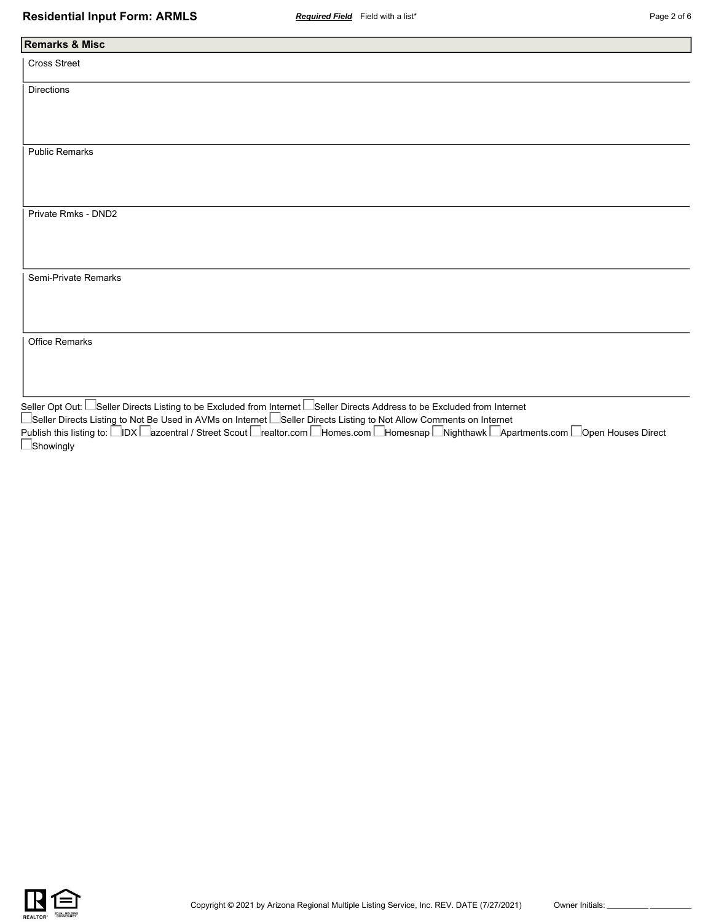| <b>Remarks &amp; Misc</b> |        |  |
|---------------------------|--------|--|
| Cross Street              |        |  |
| Directions                |        |  |
|                           |        |  |
|                           |        |  |
|                           |        |  |
| <b>Public Remarks</b>     |        |  |
|                           |        |  |
|                           |        |  |
| Private Rmks - DND2       |        |  |
|                           |        |  |
|                           |        |  |
|                           |        |  |
| Semi-Private Remarks      |        |  |
|                           |        |  |
|                           |        |  |
|                           |        |  |
| Office Remarks            |        |  |
|                           |        |  |
|                           |        |  |
| $\Box$                    | $\Box$ |  |

Seller Opt Out: Seller Directs Listing to be Excluded from Internet Seller Directs Address to be Excluded from Internet Seller Directs Listing to Not Be Used in AVMs on Internet L\_Seller Directs Listing to Not Allow Comments on Internet Publish this listing to: ⊟IDX ⊟azcentral / Street Scout ⊟realtor.com ⊟Homes.com ⊟Homesnap ⊡Nighthawk ⊡Apartments.com ⊟Open Houses Direct **Showingly** 

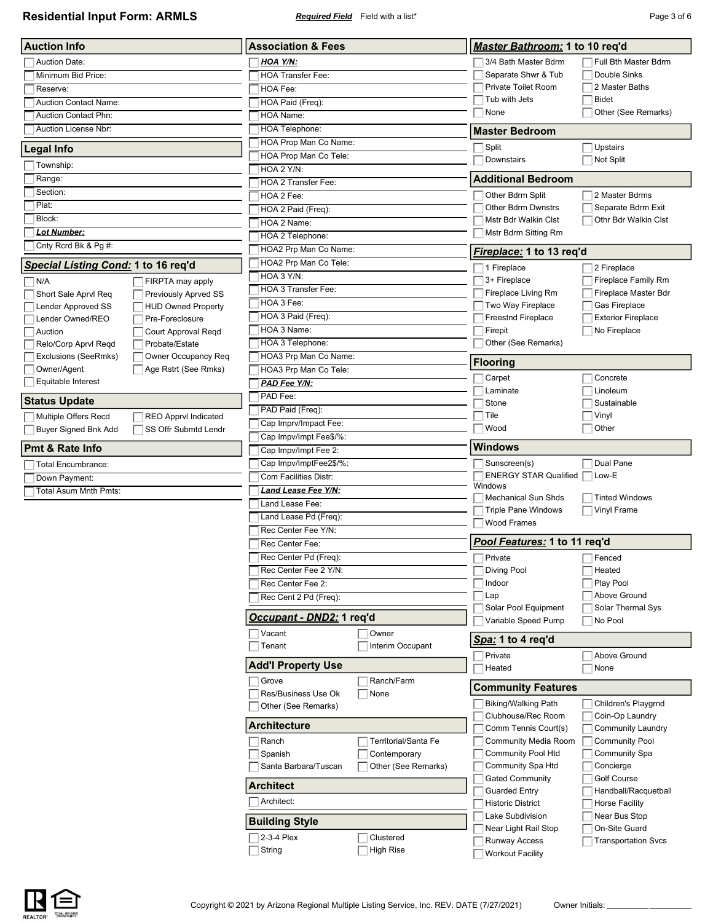**Residential Input Form: ARMLS** *Required Field* Field with a list\* **Page 3 of 6** Page 3 of 6

| <b>Auction Info</b>                           |                                              | <b>Association &amp; Fees</b>              |                      |  | Master Bathroom: 1 to 10 req'd                |                                       |  |
|-----------------------------------------------|----------------------------------------------|--------------------------------------------|----------------------|--|-----------------------------------------------|---------------------------------------|--|
| <b>Auction Date:</b>                          |                                              | <b>HOA Y/N:</b>                            |                      |  | 3/4 Bath Master Bdrm                          | Full Bth Master Bdrm                  |  |
| Minimum Bid Price:                            |                                              | <b>HOA Transfer Fee:</b>                   |                      |  | Separate Shwr & Tub                           | Double Sinks                          |  |
| Reserve:                                      |                                              | HOA Fee:                                   |                      |  | Private Toilet Room                           | 2 Master Baths                        |  |
| <b>Auction Contact Name:</b>                  |                                              | HOA Paid (Freq):                           |                      |  | Tub with Jets                                 | <b>Bidet</b>                          |  |
| Auction Contact Phn:                          |                                              | HOA Name:                                  |                      |  | None                                          | Other (See Remarks)                   |  |
| Auction License Nbr:                          |                                              | <b>HOA Telephone:</b>                      |                      |  | <b>Master Bedroom</b>                         |                                       |  |
|                                               |                                              | HOA Prop Man Co Name:                      |                      |  | ∏ Split                                       | Upstairs                              |  |
| Legal Info                                    |                                              | HOA Prop Man Co Tele:                      |                      |  | Downstairs                                    | Not Split                             |  |
| Township:                                     |                                              | HOA 2 Y/N:                                 |                      |  | <b>Additional Bedroom</b>                     |                                       |  |
| Range:<br>Section:                            |                                              | HOA 2 Transfer Fee:                        |                      |  |                                               |                                       |  |
| Plat:                                         |                                              | HOA 2 Fee:                                 |                      |  | Other Bdrm Split<br><b>Other Bdrm Dwnstrs</b> | 2 Master Bdrms<br>Separate Bdrm Exit  |  |
| Block:                                        |                                              | HOA 2 Paid (Freq):                         |                      |  | Mstr Bdr Walkin Clst                          | Othr Bdr Walkin Clst                  |  |
| <b>Lot Number:</b>                            |                                              | HOA 2 Name:<br>HOA 2 Telephone:            |                      |  | Mstr Bdrm Sitting Rm                          |                                       |  |
| Cnty Rcrd Bk & Pg #:                          |                                              | HOA2 Prp Man Co Name:                      |                      |  |                                               |                                       |  |
|                                               |                                              | HOA2 Prp Man Co Tele:                      |                      |  | Fireplace: 1 to 13 reg'd                      |                                       |  |
| <u>Special Listing Cond:</u> 1 to 16 req'd    |                                              | HOA 3 Y/N:                                 |                      |  | 1 Fireplace                                   | 2 Fireplace                           |  |
| N/A                                           | FIRPTA may apply                             | <b>HOA 3 Transfer Fee:</b>                 |                      |  | 3+ Fireplace                                  | Fireplace Family Rm                   |  |
| Short Sale Aprvl Req                          | Previously Aprved SS                         | HOA 3 Fee:                                 |                      |  | Fireplace Living Rm<br>Two Way Fireplace      | Fireplace Master Bdr<br>Gas Fireplace |  |
| <b>Lender Approved SS</b><br>Lender Owned/REO | <b>HUD Owned Property</b><br>Pre-Foreclosure | HOA 3 Paid (Freq):                         |                      |  | Freestnd Fireplace                            | <b>Exterior Fireplace</b>             |  |
| Auction                                       | Court Approval Reqd                          | HOA 3 Name:                                |                      |  | Firepit                                       | No Fireplace                          |  |
| Relo/Corp Aprvl Regd                          | Probate/Estate                               | HOA 3 Telephone:                           |                      |  | Other (See Remarks)                           |                                       |  |
| Exclusions (SeeRmks)                          | Owner Occupancy Req                          | HOA3 Prp Man Co Name:                      |                      |  |                                               |                                       |  |
| Owner/Agent                                   | Age Rstrt (See Rmks)                         | HOA3 Prp Man Co Tele:                      |                      |  | <b>Flooring</b>                               |                                       |  |
| Equitable Interest                            |                                              | PAD Fee Y/N:                               |                      |  | Carpet                                        | Concrete                              |  |
| Status Update                                 |                                              | PAD Fee:                                   |                      |  | Laminate<br>Stone                             | Linoleum<br>Sustainable               |  |
|                                               | <b>REO Apprvl Indicated</b>                  | PAD Paid (Freq):                           |                      |  | Tile                                          | Vinyl                                 |  |
| Multiple Offers Recd<br>Buyer Signed Bnk Add  | SS Offr Submtd Lendr                         | Cap Imprv/Impact Fee:                      |                      |  | Wood                                          | Other                                 |  |
|                                               |                                              | Cap Impv/Impt Fee\$/%:                     |                      |  |                                               |                                       |  |
| <b>Pmt &amp; Rate Info</b>                    |                                              | Cap Impv/Impt Fee 2:                       |                      |  | <b>Windows</b>                                |                                       |  |
| <b>Total Encumbrance:</b>                     |                                              | Cap Impv/ImptFee2\$/%:                     |                      |  | Sunscreen(s)                                  | Dual Pane                             |  |
| Down Payment:                                 |                                              | Com Facilities Distr:                      |                      |  | <b>ENERGY STAR Qualified</b><br>Windows       | Low-E                                 |  |
| <b>Total Asum Mnth Pmts:</b>                  |                                              | <u> Land Lease Fee Y/N:</u>                |                      |  | <b>Mechanical Sun Shds</b>                    | <b>Tinted Windows</b>                 |  |
|                                               |                                              | Land Lease Fee:                            |                      |  | <b>Triple Pane Windows</b>                    | Vinyl Frame                           |  |
|                                               |                                              | Land Lease Pd (Freq):                      |                      |  | Wood Frames                                   |                                       |  |
|                                               |                                              | Rec Center Fee Y/N:                        |                      |  |                                               |                                       |  |
|                                               |                                              | Rec Center Fee:                            |                      |  | Pool Features: 1 to 11 reg'd                  |                                       |  |
|                                               |                                              | Rec Center Pd (Freq):                      |                      |  | $\Box$ Private                                | $\Box$ Fenced                         |  |
|                                               |                                              | Rec Center Fee 2 Y/N:                      |                      |  | Diving Pool                                   | Heated<br>Play Pool                   |  |
|                                               |                                              | Rec Center Fee 2:                          |                      |  | Indoor<br>Lap                                 | Above Ground                          |  |
|                                               |                                              | Rec Cent 2 Pd (Freq):                      |                      |  | Solar Pool Equipment                          | Solar Thermal Sys                     |  |
|                                               |                                              | <u> <i>Occupant - DND2:</i></u> 1 req'd    |                      |  | Variable Speed Pump                           | No Pool                               |  |
|                                               |                                              | Vacant                                     | Owner                |  | Spa: 1 to 4 req'd                             |                                       |  |
|                                               |                                              | Tenant                                     | Interim Occupant     |  | Private                                       | Above Ground                          |  |
|                                               |                                              | <b>Add'l Property Use</b>                  |                      |  | Heated                                        | None                                  |  |
|                                               |                                              | Grove                                      | Ranch/Farm           |  | <b>Community Features</b>                     |                                       |  |
|                                               |                                              | Res/Business Use Ok<br>Other (See Remarks) | None                 |  | <b>Biking/Walking Path</b>                    | Children's Playgrnd                   |  |
|                                               |                                              |                                            |                      |  | Clubhouse/Rec Room                            | Coin-Op Laundry                       |  |
|                                               |                                              | <b>Architecture</b>                        |                      |  | Comm Tennis Court(s)                          | <b>Community Laundry</b>              |  |
|                                               |                                              | Ranch                                      | Territorial/Santa Fe |  | <b>Community Media Room</b>                   | <b>Community Pool</b>                 |  |
|                                               |                                              | Spanish                                    | Contemporary         |  | Community Pool Htd                            | <b>Community Spa</b>                  |  |
|                                               |                                              | Santa Barbara/Tuscan                       | Other (See Remarks)  |  | Community Spa Htd                             | Concierge                             |  |
|                                               |                                              | <b>Architect</b>                           |                      |  | <b>Gated Community</b>                        | Golf Course                           |  |
|                                               |                                              | Architect:                                 |                      |  | <b>Guarded Entry</b>                          | Handball/Racquetball                  |  |
|                                               |                                              |                                            |                      |  | <b>Historic District</b><br>Lake Subdivision  | <b>Horse Facility</b>                 |  |
|                                               |                                              | <b>Building Style</b>                      |                      |  | Near Light Rail Stop                          | Near Bus Stop<br>On-Site Guard        |  |
|                                               |                                              | 2-3-4 Plex                                 | Clustered            |  | <b>Runway Access</b>                          | <b>Transportation Svcs</b>            |  |
|                                               |                                              | String                                     | <b>High Rise</b>     |  | <b>Workout Facility</b>                       |                                       |  |

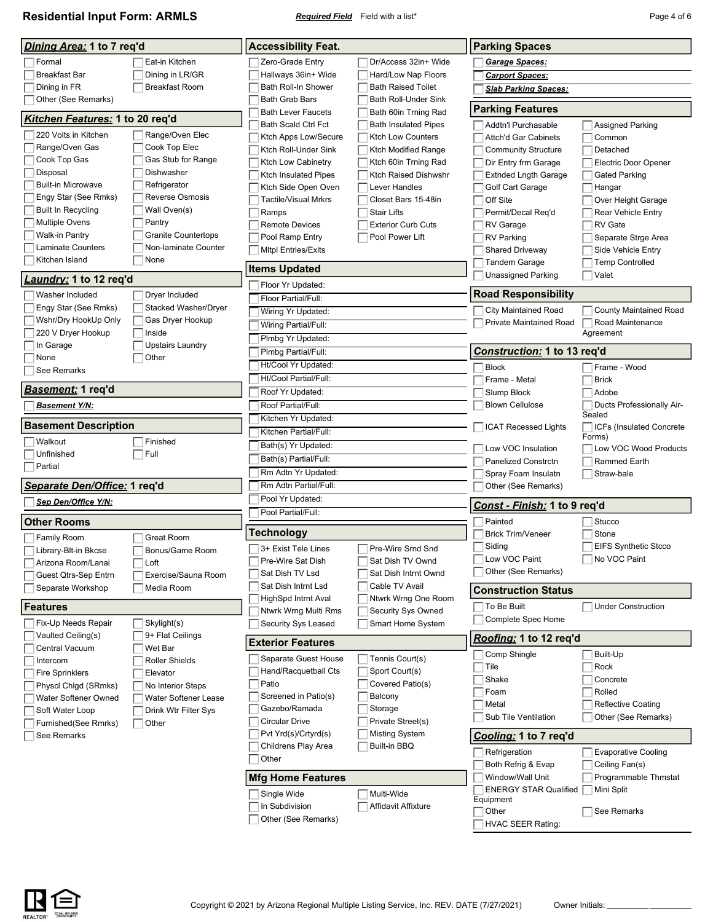**Residential Input Form: ARMLS** *Required Field* Field with a list\* **Page 4 of 6** Page 4 of 6

|                                        |                              | <b>Accessibility Feat.</b>                         |                                              |                                                  |                                            |  |
|----------------------------------------|------------------------------|----------------------------------------------------|----------------------------------------------|--------------------------------------------------|--------------------------------------------|--|
| <u>Dining Area:</u> 1 to 7 req'd       |                              |                                                    |                                              | <b>Parking Spaces</b>                            |                                            |  |
| Formal                                 | Eat-in Kitchen               | Zero-Grade Entry                                   | Dr/Access 32in+ Wide                         | Garage Spaces:                                   |                                            |  |
| <b>Breakfast Bar</b>                   | Dining in LR/GR              | Hallways 36in+ Wide                                | Hard/Low Nap Floors                          | <b>Carport Spaces:</b>                           |                                            |  |
| Dining in FR                           | <b>Breakfast Room</b>        | Bath Roll-In Shower                                | <b>Bath Raised Toilet</b>                    | <b>Slab Parking Spaces:</b>                      |                                            |  |
| Other (See Remarks)                    |                              | <b>Bath Grab Bars</b><br><b>Bath Lever Faucets</b> | Bath Roll-Under Sink<br>Bath 60in Trning Rad | <b>Parking Features</b>                          |                                            |  |
| <u>Kitchen Features:</u> 1 to 20 req'd |                              | <b>Bath Scald Ctrl Fct</b>                         | Bath Insulated Pipes                         | Addtn'l Purchasable                              | <b>Assigned Parking</b>                    |  |
| 220 Volts in Kitchen                   | Range/Oven Elec              | Ktch Apps Low/Secure                               | Ktch Low Counters                            | <b>Attch'd Gar Cabinets</b>                      | Common                                     |  |
| Range/Oven Gas                         | Cook Top Elec                | Ktch Roll-Under Sink                               | Ktch Modified Range                          | <b>Community Structure</b>                       | Detached                                   |  |
| Cook Top Gas                           | Gas Stub for Range           | Ktch Low Cabinetry                                 | Ktch 60in Trning Rad                         | Dir Entry frm Garage                             | <b>Electric Door Opener</b>                |  |
| Disposal                               | Dishwasher                   | <b>Ktch Insulated Pipes</b>                        | Ktch Raised Dishwshr                         | <b>Extnded Lngth Garage</b>                      | Gated Parking                              |  |
| <b>Built-in Microwave</b>              | Refrigerator                 | Ktch Side Open Oven                                | Lever Handles                                | Golf Cart Garage                                 | Hangar                                     |  |
| Engy Star (See Rmks)                   | Reverse Osmosis              | <b>Tactile/Visual Mrkrs</b>                        | Closet Bars 15-48in                          | Off Site                                         | Over Height Garage                         |  |
| Built In Recycling                     | Wall Oven(s)                 | Ramps                                              | <b>Stair Lifts</b>                           | Permit/Decal Req'd                               | <b>Rear Vehicle Entry</b>                  |  |
| <b>Multiple Ovens</b>                  | Pantry                       | <b>Remote Devices</b>                              | Exterior Curb Cuts                           | RV Garage                                        | <b>RV</b> Gate                             |  |
| Walk-in Pantry                         | <b>Granite Countertops</b>   | Pool Ramp Entry                                    | Pool Power Lift                              | <b>RV Parking</b>                                | Separate Strge Area                        |  |
| Laminate Counters<br>Kitchen Island    | Non-laminate Counter<br>None | <b>MItpl Entries/Exits</b>                         |                                              | <b>Shared Driveway</b>                           | Side Vehicle Entry                         |  |
|                                        |                              | <b>Items Updated</b>                               |                                              | Tandem Garage                                    | <b>Temp Controlled</b>                     |  |
| Laundry: 1 to 12 req'd                 |                              | Floor Yr Updated:                                  |                                              | Unassigned Parking                               | Valet                                      |  |
| Washer Included                        | Dryer Included               | Floor Partial/Full:                                |                                              | <b>Road Responsibility</b>                       |                                            |  |
| Engy Star (See Rmks)                   | Stacked Washer/Dryer         | Wiring Yr Updated:                                 |                                              | <b>City Maintained Road</b>                      | <b>County Maintained Road</b>              |  |
| Wshr/Dry HookUp Only                   | Gas Dryer Hookup             | Wiring Partial/Full:                               |                                              | Private Maintained Road                          | Road Maintenance                           |  |
| 220 V Dryer Hookup                     | Inside                       | Plmbg Yr Updated:                                  |                                              |                                                  | Agreement                                  |  |
| In Garage                              | <b>Upstairs Laundry</b>      | Plmbg Partial/Full:                                |                                              | <b>Construction: 1 to 13 reg'd</b>               |                                            |  |
| None                                   | Other                        | Ht/Cool Yr Updated:                                |                                              | <b>Block</b>                                     | Frame - Wood                               |  |
| See Remarks                            |                              | Ht/Cool Partial/Full:                              |                                              | Frame - Metal                                    | <b>Brick</b>                               |  |
| <u>Basement:</u> 1 req'd               |                              | Roof Yr Updated:                                   |                                              | Slump Block                                      | Adobe                                      |  |
| <b>Basement Y/N:</b>                   |                              | Roof Partial/Full:                                 |                                              | <b>Blown Cellulose</b>                           | Ducts Professionally Air-                  |  |
|                                        |                              | Kitchen Yr Updated:                                |                                              |                                                  | Sealed                                     |  |
| <b>Basement Description</b>            |                              | Kitchen Partial/Full:                              |                                              | <b>ICAT Recessed Lights</b>                      | <b>ICFs (Insulated Concrete)</b><br>Forms) |  |
| Walkout                                | Finished                     | Bath(s) Yr Updated:                                |                                              | Low VOC Insulation                               | Low VOC Wood Products                      |  |
| Unfinished                             | Full                         | Bath(s) Partial/Full:                              |                                              | <b>Panelized Constrctn</b>                       | <b>Rammed Earth</b>                        |  |
| Partial                                |                              | Rm Adtn Yr Updated:                                |                                              | Spray Foam Insulatn                              | Straw-bale                                 |  |
| Separate Den/Office: 1 req'd           |                              | Rm Adtn Partial/Full:                              |                                              | Other (See Remarks)                              |                                            |  |
| Sep Den/Office Y/N:                    |                              | Pool Yr Updated:                                   |                                              | Const - Finish: 1 to 9 req'd                     |                                            |  |
| <b>Other Rooms</b>                     |                              | Pool Partial/Full:                                 |                                              | Painted                                          | Stucco                                     |  |
| <b>Family Room</b>                     | Great Room                   | Technology                                         |                                              | <b>Brick Trim/Veneer</b>                         | Stone                                      |  |
| Library-Blt-in Bkcse                   | Bonus/Game Room              | 3+ Exist Tele Lines                                | Pre-Wire Srnd Snd                            | Siding                                           | <b>EIFS Synthetic Stcco</b>                |  |
| Arizona Room/Lanai                     | Loft                         | Pre-Wire Sat Dish                                  | Sat Dish TV Ownd                             | □Low VOC Paint                                   | No VOC Paint                               |  |
| Guest Qtrs-Sep Entrn                   | Exercise/Sauna Room          | Sat Dish TV Lsd                                    | Sat Dish Intrnt Ownd                         | Other (See Remarks)                              |                                            |  |
| Separate Workshop                      | Media Room                   | Sat Dish Intrnt Lsd                                | Cable TV Avail                               | <b>Construction Status</b>                       |                                            |  |
| Features                               |                              | HighSpd Intrnt Aval                                | Ntwrk Wrng One Room                          | $\sqcap$ To Be Built                             | <b>Under Construction</b>                  |  |
| Fix-Up Needs Repair                    | Skylight(s)                  | Ntwrk Wrng Multi Rms<br>Security Sys Leased        | Security Sys Owned<br>Smart Home System      | Complete Spec Home                               |                                            |  |
| Vaulted Ceiling(s)                     | 9+ Flat Ceilings             |                                                    |                                              | Roofing: 1 to 12 req'd                           |                                            |  |
| Central Vacuum                         | Wet Bar                      | <b>Exterior Features</b>                           |                                              | Comp Shingle                                     |                                            |  |
| Intercom                               | <b>Roller Shields</b>        | Separate Guest House                               | Tennis Court(s)                              | Tile                                             | Built-Up<br>Rock                           |  |
| <b>Fire Sprinklers</b>                 | Elevator                     | Hand/Racquetball Cts                               | Sport Court(s)                               | Shake                                            | Concrete                                   |  |
| Physcl Chlgd (SRmks)                   | No Interior Steps            | Patio                                              | Covered Patio(s)                             | Foam                                             | Rolled                                     |  |
| Water Softener Owned                   | Water Softener Lease         | Screened in Patio(s)                               | Balcony                                      | Metal                                            | Reflective Coating                         |  |
| Soft Water Loop                        | Drink Wtr Filter Sys         | Gazebo/Ramada<br><b>Circular Drive</b>             | Storage                                      | Sub Tile Ventilation                             | Other (See Remarks)                        |  |
| Furnished(See Rmrks)                   | Other                        | Pvt Yrd(s)/Crtyrd(s)                               | Private Street(s)<br>Misting System          |                                                  |                                            |  |
| See Remarks                            |                              | Childrens Play Area                                | Built-in BBQ                                 | Cooling: 1 to 7 req'd                            |                                            |  |
|                                        |                              | Other                                              |                                              | Refrigeration                                    | <b>Evaporative Cooling</b>                 |  |
|                                        |                              |                                                    |                                              | Both Refrig & Evap                               | Ceiling Fan(s)                             |  |
|                                        |                              | <b>Mfg Home Features</b>                           |                                              | Window/Wall Unit<br><b>ENERGY STAR Qualified</b> | Programmable Thmstat<br>Mini Split         |  |
|                                        |                              | Single Wide                                        | Multi-Wide                                   | Equipment                                        |                                            |  |
|                                        |                              | In Subdivision                                     | Affidavit Affixture                          | Other                                            | See Remarks                                |  |
|                                        |                              | Other (See Remarks)                                |                                              | <b>HVAC SEER Rating:</b>                         |                                            |  |

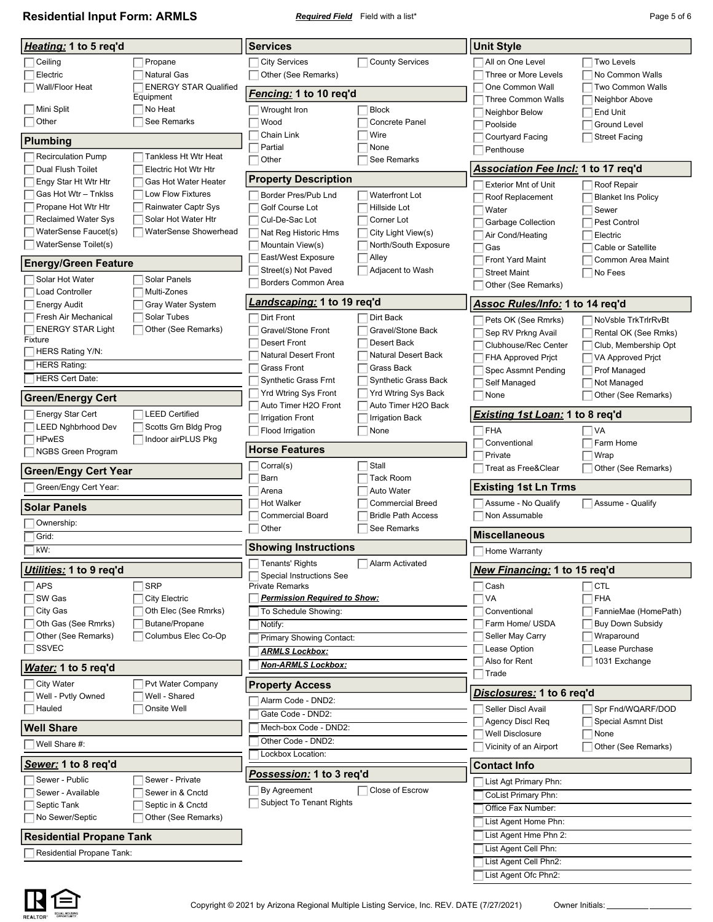**Residential Input Form: ARMLS** *Required Field* Field with a list\* **Residential Input Form: ARMLS** *Page 5 of 6* 

| Heating: 1 to 5 req'd                              |                                              | <b>Services</b>                                             |                                            | <b>Unit Style</b>                            |                                            |  |
|----------------------------------------------------|----------------------------------------------|-------------------------------------------------------------|--------------------------------------------|----------------------------------------------|--------------------------------------------|--|
| Ceiling<br>Electric                                | Propane<br><b>Natural Gas</b>                | <b>City Services</b><br>Other (See Remarks)                 | <b>County Services</b>                     | All on One Level<br>Three or More Levels     | <b>Two Levels</b><br>No Common Walls       |  |
| Wall/Floor Heat                                    | <b>ENERGY STAR Qualified</b><br>Equipment    | <u>Fencing:</u> 1 to 10 req'd                               |                                            | One Common Wall<br><b>Three Common Walls</b> | Two Common Walls                           |  |
| Mini Split<br>Other                                | No Heat<br>See Remarks                       | Wrought Iron<br>Wood                                        | <b>Block</b><br>Concrete Panel             | Neighbor Below<br>Poolside                   | Neighbor Above<br>End Unit<br>Ground Level |  |
| Plumbing                                           |                                              | Chain Link                                                  | Wire                                       | Courtyard Facing                             | <b>Street Facing</b>                       |  |
| <b>Recirculation Pump</b>                          | Tankless Ht Wtr Heat                         | Partial                                                     | None                                       | Penthouse                                    |                                            |  |
| Dual Flush Toilet                                  | Electric Hot Wtr Htr                         | Other                                                       | See Remarks                                | Association Fee Incl: 1 to 17 req'd          |                                            |  |
| Engy Star Ht Wtr Htr                               | Gas Hot Water Heater                         | <b>Property Description</b>                                 |                                            | <b>Exterior Mnt of Unit</b>                  | Roof Repair                                |  |
| Gas Hot Wtr - Tnklss                               | <b>Low Flow Fixtures</b>                     | Border Pres/Pub Lnd                                         | <b>Waterfront Lot</b>                      | Roof Replacement                             | <b>Blanket Ins Policy</b>                  |  |
| Propane Hot Wtr Htr                                | Rainwater Captr Sys                          | Golf Course Lot                                             | Hillside Lot                               | Water                                        | Sewer                                      |  |
| <b>Reclaimed Water Sys</b><br>WaterSense Faucet(s) | Solar Hot Water Htr<br>WaterSense Showerhead | Cul-De-Sac Lot                                              | Corner Lot                                 | Garbage Collection                           | Pest Control                               |  |
| WaterSense Toilet(s)                               |                                              | Nat Reg Historic Hms<br>Mountain View(s)                    | City Light View(s)<br>North/South Exposure | Air Cond/Heating                             | Electric                                   |  |
|                                                    |                                              | East/West Exposure                                          | Alley                                      | Gas<br><b>Front Yard Maint</b>               | Cable or Satellite<br>Common Area Maint    |  |
| <b>Energy/Green Feature</b>                        |                                              | Street(s) Not Paved                                         | Adjacent to Wash                           | <b>Street Maint</b>                          | $\Box$ No Fees                             |  |
| Solar Hot Water                                    | <b>Solar Panels</b>                          | Borders Common Area                                         |                                            | Other (See Remarks)                          |                                            |  |
| <b>Load Controller</b><br><b>Energy Audit</b>      | Multi-Zones<br>Gray Water System             | <i>andscaping:</i> 1 to 19 req'd.                           |                                            | Assoc Rules/Info: 1 to 14 req'd              |                                            |  |
| Fresh Air Mechanical                               | Solar Tubes                                  | Dirt Front                                                  | Dirt Back                                  | Pets OK (See Rmrks)                          | NoVsble TrkTrlrRvBt                        |  |
| <b>ENERGY STAR Light</b>                           | Other (See Remarks)                          | Gravel/Stone Front                                          | Gravel/Stone Back                          | Sep RV Prkng Avail                           | Rental OK (See Rmks)                       |  |
| Fixture                                            |                                              | <b>Desert Front</b>                                         | Desert Back                                | Clubhouse/Rec Center                         | Club, Membership Opt                       |  |
| HERS Rating Y/N:<br><b>HERS Rating:</b>            |                                              | <b>Natural Desert Front</b>                                 | <b>Natural Desert Back</b>                 | <b>FHA Approved Prict</b>                    | VA Approved Prict                          |  |
| <b>HERS Cert Date:</b>                             |                                              | <b>Grass Front</b><br><b>Synthetic Grass Frnt</b>           | Grass Back<br>Synthetic Grass Back         | Spec Assmnt Pending                          | Prof Managed                               |  |
|                                                    |                                              | Yrd Wtring Sys Front                                        | <b>Yrd Wtring Sys Back</b>                 | Self Managed<br>None                         | Not Managed<br>Other (See Remarks)         |  |
| <b>Green/Energy Cert</b>                           |                                              | Auto Timer H2O Front                                        | Auto Timer H2O Back                        |                                              |                                            |  |
| <b>Energy Star Cert</b>                            | <b>LEED Certified</b>                        | <b>Irrigation Front</b>                                     | <b>Irrigation Back</b>                     | <u>Existing 1st Loan:</u> 1 to 8 req'd       |                                            |  |
| <b>LEED Nghbrhood Dev</b><br><b>HPwES</b>          | Scotts Grn Bldg Prog<br>Indoor airPLUS Pkg   | Flood Irrigation                                            | None                                       | $\sqcap$ FHA                                 | VA                                         |  |
| NGBS Green Program                                 |                                              | <b>Horse Features</b>                                       |                                            | Conventional<br>Private                      | Farm Home<br>Wrap                          |  |
| <b>Green/Engy Cert Year</b>                        |                                              | Corral(s)                                                   | Stall                                      | Treat as Free&Clear                          | Other (See Remarks)                        |  |
| Green/Engy Cert Year:                              |                                              | Barn                                                        | <b>Tack Room</b>                           | <b>Existing 1st Ln Trms</b>                  |                                            |  |
|                                                    |                                              | Arena<br><b>Hot Walker</b>                                  | Auto Water<br><b>Commercial Breed</b>      | Assume - No Qualify                          | Assume - Qualify                           |  |
| <b>Solar Panels</b>                                |                                              | <b>Commercial Board</b>                                     | <b>Bridle Path Access</b>                  | Non Assumable                                |                                            |  |
| Ownership:                                         |                                              | Other                                                       | See Remarks                                | <b>Miscellaneous</b>                         |                                            |  |
| Grid:<br>kW:                                       |                                              | <b>Showing Instructions</b>                                 |                                            |                                              |                                            |  |
|                                                    |                                              | Tenants' Rights                                             | Alarm Activated                            | Home Warranty                                |                                            |  |
| Utilities: 1 to 9 req'd                            |                                              | Special Instructions See                                    |                                            | New Financing: 1 to 15 req'd                 |                                            |  |
| APS                                                | <b>SRP</b>                                   | <b>Private Remarks</b>                                      |                                            | $\sqsupset$ Cash                             | <b>CTL</b>                                 |  |
| SW Gas<br>City Gas                                 | <b>City Electric</b><br>Oth Elec (See Rmrks) | <u>Permission Required to Show:</u><br>To Schedule Showing: |                                            | $\sqcap$ VA<br>Conventional                  | <b>FHA</b><br>FannieMae (HomePath)         |  |
| Oth Gas (See Rmrks)                                | Butane/Propane                               | Notify:                                                     |                                            | Farm Home/ USDA                              | <b>Buy Down Subsidy</b>                    |  |
| Other (See Remarks)                                | Columbus Elec Co-Op                          | Primary Showing Contact:                                    |                                            | Seller May Carry                             | Wraparound                                 |  |
| <b>SSVEC</b>                                       |                                              | <b>ARMLS Lockbox:</b>                                       |                                            | Lease Option                                 | Lease Purchase                             |  |
| Water: 1 to 5 req'd                                |                                              | <b>Non-ARMLS Lockbox:</b>                                   |                                            | Also for Rent                                | 1031 Exchange                              |  |
| City Water                                         | Pvt Water Company                            | <b>Property Access</b>                                      |                                            | Trade                                        |                                            |  |
| Well - Pvtly Owned                                 | Well - Shared                                | Alarm Code - DND2:                                          |                                            | Disclosures: 1 to 6 reg'd                    |                                            |  |
| Hauled                                             | Onsite Well                                  | Gate Code - DND2:                                           |                                            | Seller Discl Avail                           | Spr Fnd/WQARF/DOD                          |  |
| <b>Well Share</b>                                  |                                              | Mech-box Code - DND2:                                       |                                            | <b>Agency Discl Req</b>                      | <b>Special Asmnt Dist</b>                  |  |
| Well Share #:                                      |                                              | Other Code - DND2:                                          |                                            | Well Disclosure<br>Vicinity of an Airport    | None<br>Other (See Remarks)                |  |
| Sewer: 1 to 8 req'd                                |                                              | Lockbox Location:                                           |                                            | <b>Contact Info</b>                          |                                            |  |
| Sewer - Public                                     | Sewer - Private                              | <u>Possession:</u> 1 to 3 req'd                             |                                            | List Agt Primary Phn:                        |                                            |  |
| Sewer - Available                                  | Sewer in & Cnctd                             | By Agreement                                                | Close of Escrow                            | CoList Primary Phn:                          |                                            |  |
| Septic Tank                                        | Septic in & Cnctd                            | Subject To Tenant Rights                                    |                                            | Office Fax Number:                           |                                            |  |
| No Sewer/Septic                                    | Other (See Remarks)                          |                                                             |                                            | List Agent Home Phn:                         |                                            |  |
| <b>Residential Propane Tank</b>                    |                                              |                                                             |                                            | List Agent Hme Phn 2:                        |                                            |  |
| Residential Propane Tank:                          |                                              |                                                             |                                            | List Agent Cell Phn:                         |                                            |  |
|                                                    |                                              |                                                             |                                            | List Agent Cell Phn2:                        |                                            |  |
|                                                    |                                              |                                                             |                                            | List Agent Ofc Phn2:                         |                                            |  |

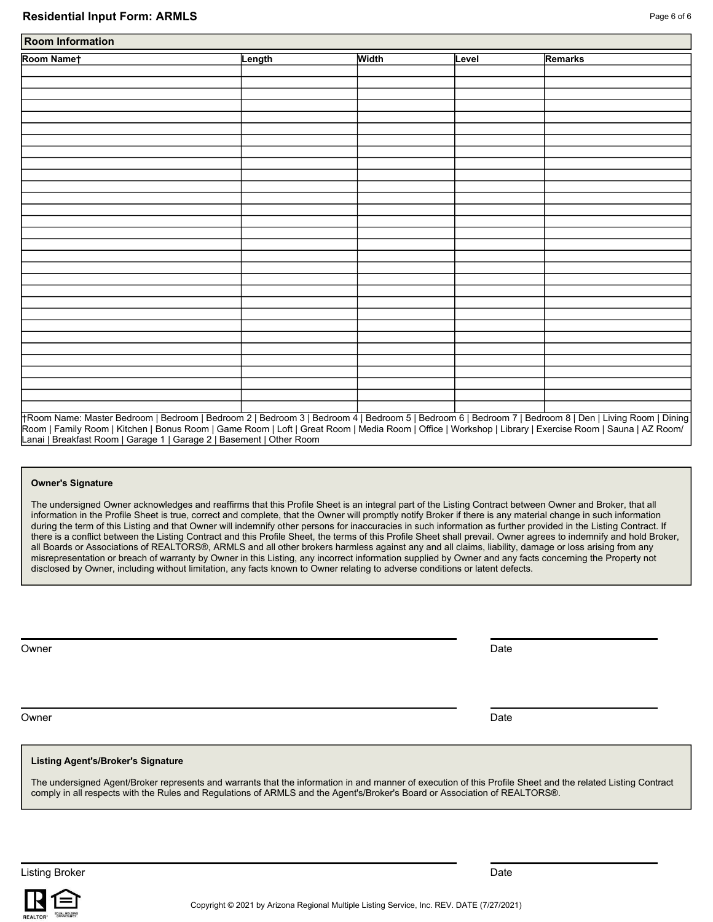| Room Namet | Length | <b>Width</b> | Level | Remarks |  |
|------------|--------|--------------|-------|---------|--|
|            |        |              |       |         |  |
|            |        |              |       |         |  |
|            |        |              |       |         |  |
|            |        |              |       |         |  |
|            |        |              |       |         |  |
|            |        |              |       |         |  |
|            |        |              |       |         |  |
|            |        |              |       |         |  |
|            |        |              |       |         |  |
|            |        |              |       |         |  |
|            |        |              |       |         |  |
|            |        |              |       |         |  |
|            |        |              |       |         |  |
|            |        |              |       |         |  |
|            |        |              |       |         |  |
|            |        |              |       |         |  |
|            |        |              |       |         |  |
|            |        |              |       |         |  |
|            |        |              |       |         |  |
|            |        |              |       |         |  |
|            |        |              |       |         |  |
|            |        |              |       |         |  |
|            |        |              |       |         |  |
|            |        |              |       |         |  |
|            |        |              |       |         |  |
|            |        |              |       |         |  |
|            |        |              |       |         |  |
|            |        |              |       |         |  |
|            |        |              |       |         |  |
|            |        |              |       |         |  |

Room | Family Room | Kitchen | Bonus Room | Game Room | Loft | Great Room | Media Room | Office | Workshop | Library | Exercise Room | Sauna | AZ Room/ Lanai | Breakfast Room | Garage 1 | Garage 2 | Basement | Other Room

### **Owner's Signature**

The undersigned Owner acknowledges and reaffirms that this Profile Sheet is an integral part of the Listing Contract between Owner and Broker, that all information in the Profile Sheet is true, correct and complete, that the Owner will promptly notify Broker if there is any material change in such information during the term of this Listing and that Owner will indemnify other persons for inaccuracies in such information as further provided in the Listing Contract. If there is a conflict between the Listing Contract and this Profile Sheet, the terms of this Profile Sheet shall prevail. Owner agrees to indemnify and hold Broker, all Boards or Associations of REALTORS®, ARMLS and all other brokers harmless against any and all claims, liability, damage or loss arising from any misrepresentation or breach of warranty by Owner in this Listing, any incorrect information supplied by Owner and any facts concerning the Property not disclosed by Owner, including without limitation, any facts known to Owner relating to adverse conditions or latent defects.

| Owner<br>Date | Owner | Date |
|---------------|-------|------|
|               |       |      |

### **Listing Agent's/Broker's Signature**

The undersigned Agent/Broker represents and warrants that the information in and manner of execution of this Profile Sheet and the related Listing Contract comply in all respects with the Rules and Regulations of ARMLS and the Agent's/Broker's Board or Association of REALTORS®.

Listing Broker Date